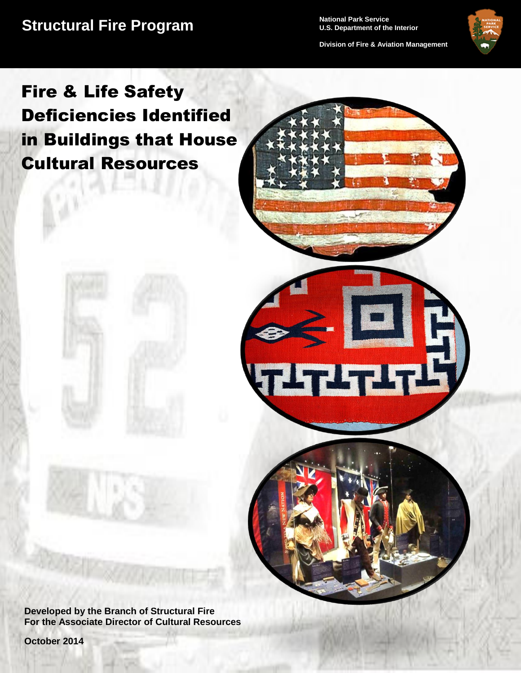**Structural Fire Program** Mational Park Service

**U.S. Department of the Interior**

**Division of Fire & Aviation Management**

<u>LTITIH</u>



# Fire & Life Safety Deficiencies Identified in Buildings that House Cultural Resources

**Developed by the Branch of Structural Fire For the Associate Director of Cultural Resources**

**October 2014**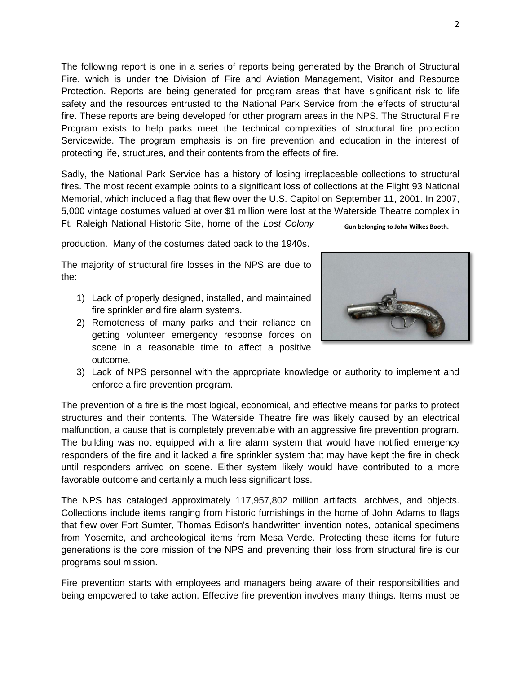The following report is one in a series of reports being generated by the Branch of Structural Fire, which is under the Division of Fire and Aviation Management, Visitor and Resource Protection. Reports are being generated for program areas that have significant risk to life safety and the resources entrusted to the National Park Service from the effects of structural fire. These reports are being developed for other program areas in the NPS. The Structural Fire Program exists to help parks meet the technical complexities of structural fire protection Servicewide. The program emphasis is on fire prevention and education in the interest of protecting life, structures, and their contents from the effects of fire.

Sadly, the National Park Service has a history of losing irreplaceable collections to structural fires. The most recent example points to a significant loss of collections at the Flight 93 National Memorial, which included a flag that flew over the U.S. Capitol on September 11, 2001. In 2007, 5,000 vintage costumes valued at over \$1 million were lost at the Waterside Theatre complex in Ft. Raleigh National Historic Site, home of the *Lost Colony* **Gun belonging to John Wilkes Booth.** 

production. Many of the costumes dated back to the 1940s.

The majority of structural fire losses in the NPS are due to the:

- 1) Lack of properly designed, installed, and maintained fire sprinkler and fire alarm systems.
- 2) Remoteness of many parks and their reliance on getting volunteer emergency response forces on scene in a reasonable time to affect a positive outcome.



3) Lack of NPS personnel with the appropriate knowledge or authority to implement and enforce a fire prevention program.

The prevention of a fire is the most logical, economical, and effective means for parks to protect structures and their contents. The Waterside Theatre fire was likely caused by an electrical malfunction, a cause that is completely preventable with an aggressive fire prevention program. The building was not equipped with a fire alarm system that would have notified emergency responders of the fire and it lacked a fire sprinkler system that may have kept the fire in check until responders arrived on scene. Either system likely would have contributed to a more favorable outcome and certainly a much less significant loss.

The NPS has cataloged approximately 117,957,802 million artifacts, archives, and objects. Collections include items ranging from historic furnishings in the home of John Adams to flags that flew over Fort Sumter, Thomas Edison's handwritten invention notes, botanical specimens from Yosemite, and archeological items from Mesa Verde. Protecting these items for future generations is the core mission of the NPS and preventing their loss from structural fire is our programs soul mission.

Fire prevention starts with employees and managers being aware of their responsibilities and being empowered to take action. Effective fire prevention involves many things. Items must be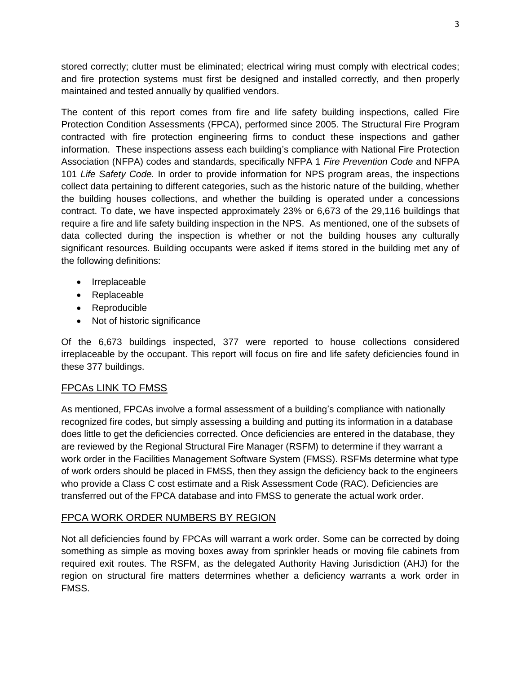stored correctly; clutter must be eliminated; electrical wiring must comply with electrical codes; and fire protection systems must first be designed and installed correctly, and then properly maintained and tested annually by qualified vendors.

The content of this report comes from fire and life safety building inspections, called Fire Protection Condition Assessments (FPCA), performed since 2005. The Structural Fire Program contracted with fire protection engineering firms to conduct these inspections and gather information. These inspections assess each building's compliance with National Fire Protection Association (NFPA) codes and standards, specifically NFPA 1 *Fire Prevention Code* and NFPA 101 *Life Safety Code.* In order to provide information for NPS program areas, the inspections collect data pertaining to different categories, such as the historic nature of the building, whether the building houses collections, and whether the building is operated under a concessions contract. To date, we have inspected approximately 23% or 6,673 of the 29,116 buildings that require a fire and life safety building inspection in the NPS. As mentioned, one of the subsets of data collected during the inspection is whether or not the building houses any culturally significant resources. Building occupants were asked if items stored in the building met any of the following definitions:

- Irreplaceable
- Replaceable
- Reproducible
- Not of historic significance

Of the 6,673 buildings inspected, 377 were reported to house collections considered irreplaceable by the occupant. This report will focus on fire and life safety deficiencies found in these 377 buildings.

### FPCAs LINK TO FMSS

As mentioned, FPCAs involve a formal assessment of a building's compliance with nationally recognized fire codes, but simply assessing a building and putting its information in a database does little to get the deficiencies corrected. Once deficiencies are entered in the database, they are reviewed by the Regional Structural Fire Manager (RSFM) to determine if they warrant a work order in the Facilities Management Software System (FMSS). RSFMs determine what type of work orders should be placed in FMSS, then they assign the deficiency back to the engineers who provide a Class C cost estimate and a Risk Assessment Code (RAC). Deficiencies are transferred out of the FPCA database and into FMSS to generate the actual work order.

### FPCA WORK ORDER NUMBERS BY REGION

Not all deficiencies found by FPCAs will warrant a work order. Some can be corrected by doing something as simple as moving boxes away from sprinkler heads or moving file cabinets from required exit routes. The RSFM, as the delegated Authority Having Jurisdiction (AHJ) for the region on structural fire matters determines whether a deficiency warrants a work order in FMSS.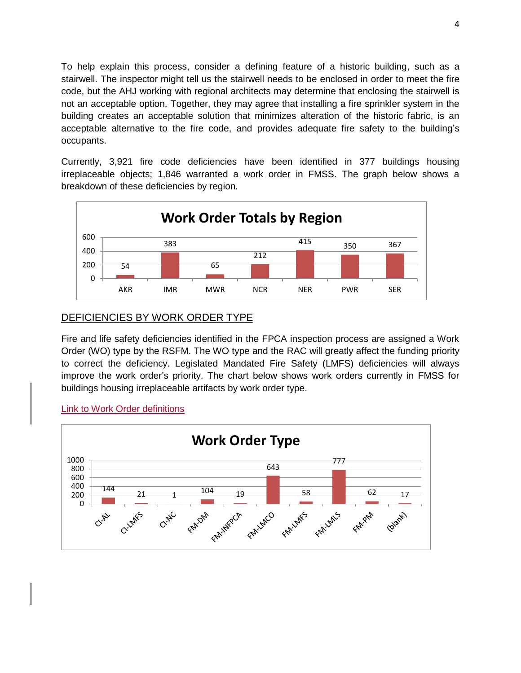To help explain this process, consider a defining feature of a historic building, such as a stairwell. The inspector might tell us the stairwell needs to be enclosed in order to meet the fire code, but the AHJ working with regional architects may determine that enclosing the stairwell is not an acceptable option. Together, they may agree that installing a fire sprinkler system in the building creates an acceptable solution that minimizes alteration of the historic fabric, is an acceptable alternative to the fire code, and provides adequate fire safety to the building's occupants.

Currently, 3,921 fire code deficiencies have been identified in 377 buildings housing irreplaceable objects; 1,846 warranted a work order in FMSS. The graph below shows a breakdown of these deficiencies by region.



## DEFICIENCIES BY WORK ORDER TYPE

Fire and life safety deficiencies identified in the FPCA inspection process are assigned a Work Order (WO) type by the RSFM. The WO type and the RAC will greatly affect the funding priority to correct the deficiency. Legislated Mandated Fire Safety (LMFS) deficiencies will always improve the work order's priority. The chart below shows work orders currently in FMSS for buildings housing irreplaceable artifacts by work order type.



Link to Work Order definitions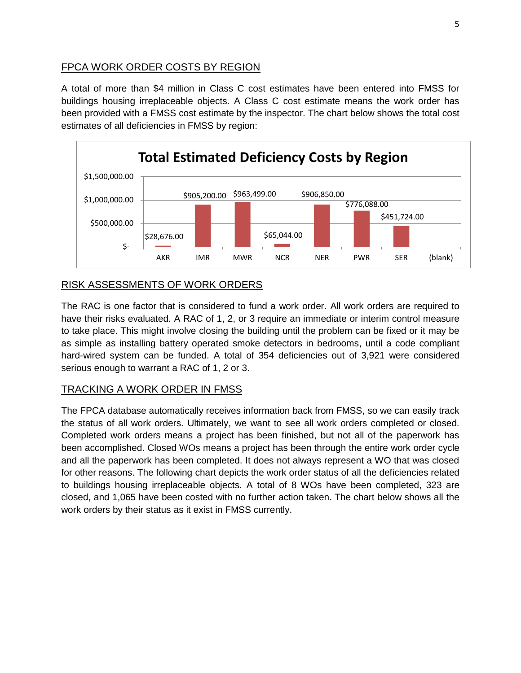## FPCA WORK ORDER COSTS BY REGION

A total of more than \$4 million in Class C cost estimates have been entered into FMSS for buildings housing irreplaceable objects. A Class C cost estimate means the work order has been provided with a FMSS cost estimate by the inspector. The chart below shows the total cost estimates of all deficiencies in FMSS by region:



## RISK ASSESSMENTS OF WORK ORDERS

The RAC is one factor that is considered to fund a work order. All work orders are required to have their risks evaluated. A RAC of 1, 2, or 3 require an immediate or interim control measure to take place. This might involve closing the building until the problem can be fixed or it may be as simple as installing battery operated smoke detectors in bedrooms, until a code compliant hard-wired system can be funded. A total of 354 deficiencies out of 3,921 were considered serious enough to warrant a RAC of 1, 2 or 3.

## TRACKING A WORK ORDER IN FMSS

The FPCA database automatically receives information back from FMSS, so we can easily track the status of all work orders. Ultimately, we want to see all work orders completed or closed. Completed work orders means a project has been finished, but not all of the paperwork has been accomplished. Closed WOs means a project has been through the entire work order cycle and all the paperwork has been completed. It does not always represent a WO that was closed for other reasons. The following chart depicts the work order status of all the deficiencies related to buildings housing irreplaceable objects. A total of 8 WOs have been completed, 323 are closed, and 1,065 have been costed with no further action taken. The chart below shows all the work orders by their status as it exist in FMSS currently.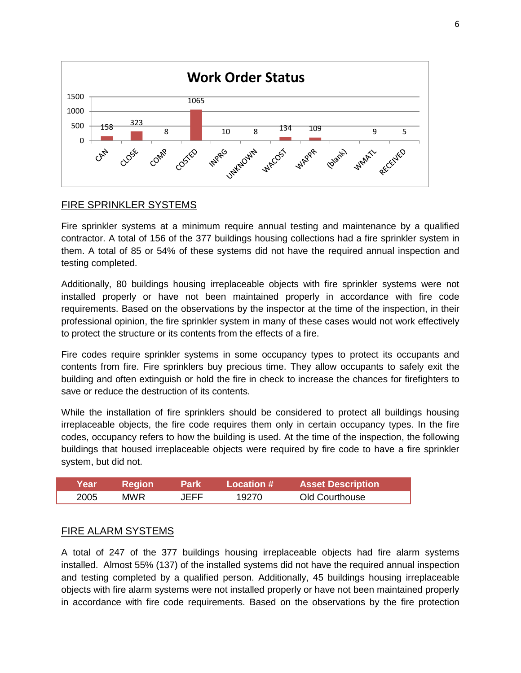

## FIRE SPRINKLER SYSTEMS

Fire sprinkler systems at a minimum require annual testing and maintenance by a qualified contractor. A total of 156 of the 377 buildings housing collections had a fire sprinkler system in them. A total of 85 or 54% of these systems did not have the required annual inspection and testing completed.

Additionally, 80 buildings housing irreplaceable objects with fire sprinkler systems were not installed properly or have not been maintained properly in accordance with fire code requirements. Based on the observations by the inspector at the time of the inspection, in their professional opinion, the fire sprinkler system in many of these cases would not work effectively to protect the structure or its contents from the effects of a fire.

Fire codes require sprinkler systems in some occupancy types to protect its occupants and contents from fire. Fire sprinklers buy precious time. They allow occupants to safely exit the building and often extinguish or hold the fire in check to increase the chances for firefighters to save or reduce the destruction of its contents.

While the installation of fire sprinklers should be considered to protect all buildings housing irreplaceable objects, the fire code requires them only in certain occupancy types. In the fire codes, occupancy refers to how the building is used. At the time of the inspection, the following buildings that housed irreplaceable objects were required by fire code to have a fire sprinkler system, but did not.

| <b>Year</b> \ | <b>Region</b> | <b>Park</b> | / Location # ⊥ | <b>Asset Description</b> |
|---------------|---------------|-------------|----------------|--------------------------|
| 2005          | MWR.          | JEFF        | 19270.         | Old Courthouse           |

### FIRE ALARM SYSTEMS

A total of 247 of the 377 buildings housing irreplaceable objects had fire alarm systems installed. Almost 55% (137) of the installed systems did not have the required annual inspection and testing completed by a qualified person. Additionally, 45 buildings housing irreplaceable objects with fire alarm systems were not installed properly or have not been maintained properly in accordance with fire code requirements. Based on the observations by the fire protection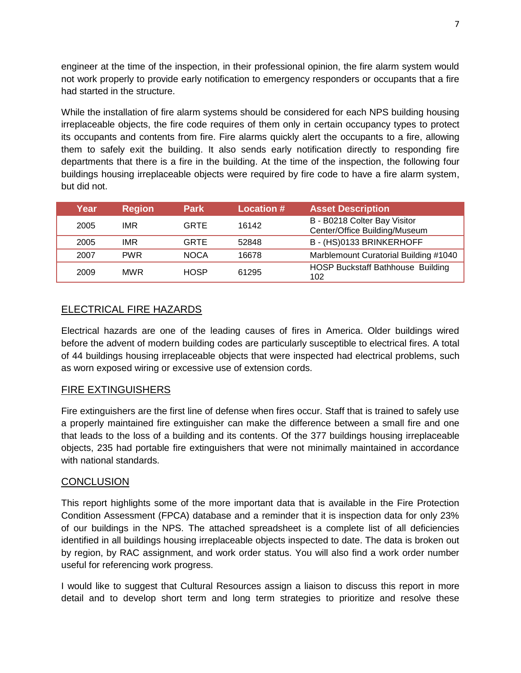engineer at the time of the inspection, in their professional opinion, the fire alarm system would not work properly to provide early notification to emergency responders or occupants that a fire had started in the structure.

While the installation of fire alarm systems should be considered for each NPS building housing irreplaceable objects, the fire code requires of them only in certain occupancy types to protect its occupants and contents from fire. Fire alarms quickly alert the occupants to a fire, allowing them to safely exit the building. It also sends early notification directly to responding fire departments that there is a fire in the building. At the time of the inspection, the following four buildings housing irreplaceable objects were required by fire code to have a fire alarm system, but did not.

| Year | <b>Region</b> | <b>Park</b> | <b>Location #</b> | <b>Asset Description</b>                                      |
|------|---------------|-------------|-------------------|---------------------------------------------------------------|
| 2005 | IMR           | <b>GRTE</b> | 16142             | B - B0218 Colter Bay Visitor<br>Center/Office Building/Museum |
| 2005 | <b>IMR</b>    | <b>GRTE</b> | 52848             | B - (HS)0133 BRINKERHOFF                                      |
| 2007 | <b>PWR</b>    | <b>NOCA</b> | 16678             | Marblemount Curatorial Building #1040                         |
| 2009 | <b>MWR</b>    | <b>HOSP</b> | 61295             | HOSP Buckstaff Bathhouse Building<br>102                      |

### ELECTRICAL FIRE HAZARDS

Electrical hazards are one of the leading causes of fires in America. Older buildings wired before the advent of modern building codes are particularly susceptible to electrical fires. A total of 44 buildings housing irreplaceable objects that were inspected had electrical problems, such as worn exposed wiring or excessive use of extension cords.

### FIRE EXTINGUISHERS

Fire extinguishers are the first line of defense when fires occur. Staff that is trained to safely use a properly maintained fire extinguisher can make the difference between a small fire and one that leads to the loss of a building and its contents. Of the 377 buildings housing irreplaceable objects, 235 had portable fire extinguishers that were not minimally maintained in accordance with national standards.

#### **CONCLUSION**

This report highlights some of the more important data that is available in the Fire Protection Condition Assessment (FPCA) database and a reminder that it is inspection data for only 23% of our buildings in the NPS. The attached spreadsheet is a complete list of all deficiencies identified in all buildings housing irreplaceable objects inspected to date. The data is broken out by region, by RAC assignment, and work order status. You will also find a work order number useful for referencing work progress.

I would like to suggest that Cultural Resources assign a liaison to discuss this report in more detail and to develop short term and long term strategies to prioritize and resolve these